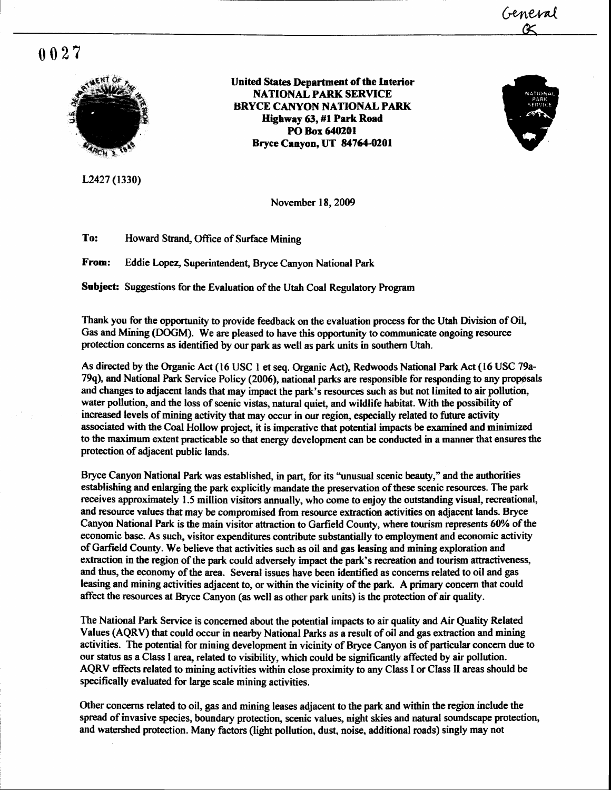## $0027$



L2427 (1330)

**United States Department of the Interior NATIONAL PARK SERVICE BRYCE CANYON NATIONAL PARK** Highway 63, #1 Park Road PO Box 640201 Bryce Canyon, UT 84764-0201



General

November 18, 2009

To: Howard Strand, Office of Surface Mining

**From:** Eddie Lopez, Superintendent, Bryce Canyon National Park

Subject: Suggestions for the Evaluation of the Utah Coal Regulatory Program

Thank you for the opportunity to provide feedback on the evaluation process for the Utah Division of Oil, Gas and Mining (DOGM). We are pleased to have this opportunity to communicate ongoing resource protection concerns as identified by our park as well as park units in southern Utah.

As directed by the Organic Act (16 USC 1 et seq. Organic Act), Redwoods National Park Act (16 USC 79a-79q), and National Park Service Policy (2006), national parks are responsible for responding to any proposals and changes to adjacent lands that may impact the park's resources such as but not limited to air pollution, water pollution, and the loss of scenic vistas, natural quiet, and wildlife habitat. With the possibility of increased levels of mining activity that may occur in our region, especially related to future activity associated with the Coal Hollow project, it is imperative that potential impacts be examined and minimized to the maximum extent practicable so that energy development can be conducted in a manner that ensures the protection of adjacent public lands.

Bryce Canyon National Park was established, in part, for its "unusual scenic beauty," and the authorities establishing and enlarging the park explicitly mandate the preservation of these scenic resources. The park receives approximately 1.5 million visitors annually, who come to enjoy the outstanding visual, recreational, and resource values that may be compromised from resource extraction activities on adjacent lands. Bryce Canyon National Park is the main visitor attraction to Garfield County, where tourism represents 60% of the economic base. As such, visitor expenditures contribute substantially to employment and economic activity of Garfield County. We believe that activities such as oil and gas leasing and mining exploration and extraction in the region of the park could adversely impact the park's recreation and tourism attractiveness, and thus, the economy of the area. Several issues have been identified as concerns related to oil and gas leasing and mining activities adjacent to, or within the vicinity of the park. A primary concern that could affect the resources at Bryce Canyon (as well as other park units) is the protection of air quality.

The National Park Service is concerned about the potential impacts to air quality and Air Quality Related Values (AQRV) that could occur in nearby National Parks as a result of oil and gas extraction and mining activities. The potential for mining development in vicinity of Bryce Canyon is of particular concern due to our status as a Class I area, related to visibility, which could be significantly affected by air pollution. AQRV effects related to mining activities within close proximity to any Class I or Class II areas should be specifically evaluated for large scale mining activities.

Other concerns related to oil, gas and mining leases adjacent to the park and within the region include the spread of invasive species, boundary protection, scenic values, night skies and natural soundscape protection, and watershed protection. Many factors (light pollution, dust, noise, additional roads) singly may not